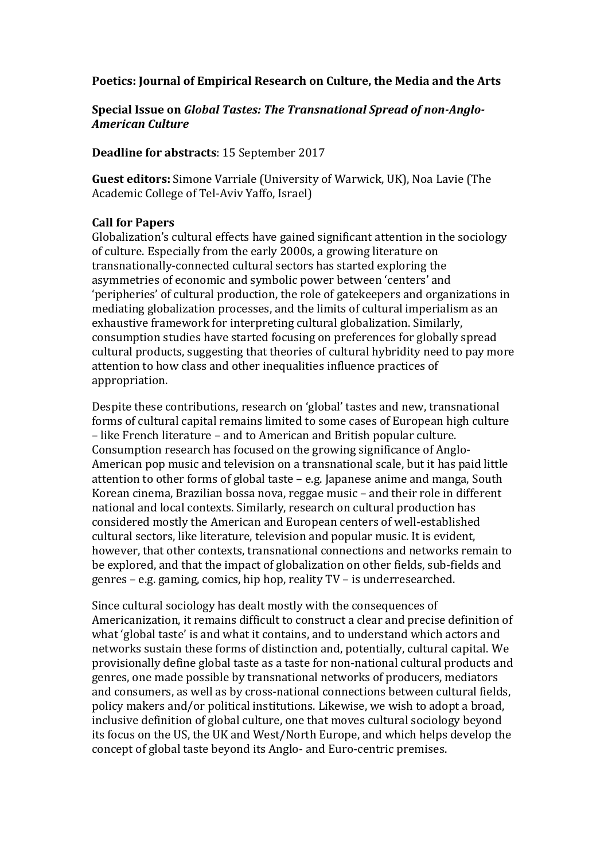# **Poetics: Journal of Empirical Research on Culture, the Media and the Arts**

# **Special Issue on** *Global Tastes: The Transnational Spread of non-Anglo-American Culture*

**Deadline for abstracts**: 15 September 2017

**Guest editors:** Simone Varriale (University of Warwick, UK), Noa Lavie (The Academic College of Tel-Aviv Yaffo, Israel)

### **Call for Papers**

Globalization's cultural effects have gained significant attention in the sociology of culture. Especially from the early 2000s, a growing literature on transnationally-connected cultural sectors has started exploring the asymmetries of economic and symbolic power between 'centers' and 'peripheries' of cultural production, the role of gatekeepers and organizations in mediating globalization processes, and the limits of cultural imperialism as an exhaustive framework for interpreting cultural globalization. Similarly, consumption studies have started focusing on preferences for globally spread cultural products, suggesting that theories of cultural hybridity need to pay more attention to how class and other inequalities influence practices of appropriation.

Despite these contributions, research on 'global' tastes and new, transnational forms of cultural capital remains limited to some cases of European high culture – like French literature – and to American and British popular culture. Consumption research has focused on the growing significance of Anglo-American pop music and television on a transnational scale, but it has paid little attention to other forms of global taste – e.g. Japanese anime and manga, South Korean cinema, Brazilian bossa nova, reggae music – and their role in different national and local contexts. Similarly, research on cultural production has considered mostly the American and European centers of well-established cultural sectors, like literature, television and popular music. It is evident, however, that other contexts, transnational connections and networks remain to be explored, and that the impact of globalization on other fields, sub-fields and genres – e.g. gaming, comics, hip hop, reality TV – is underresearched.

Since cultural sociology has dealt mostly with the consequences of Americanization, it remains difficult to construct a clear and precise definition of what 'global taste' is and what it contains, and to understand which actors and networks sustain these forms of distinction and, potentially, cultural capital. We provisionally define global taste as a taste for non-national cultural products and genres, one made possible by transnational networks of producers, mediators and consumers, as well as by cross-national connections between cultural fields, policy makers and/or political institutions. Likewise, we wish to adopt a broad, inclusive definition of global culture, one that moves cultural sociology beyond its focus on the US, the UK and West/North Europe, and which helps develop the concept of global taste beyond its Anglo- and Euro-centric premises.